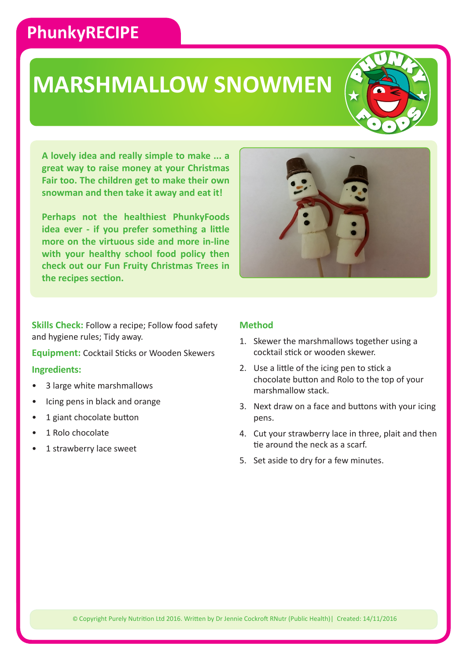### **PhunkyRECIPE**

## **MARSHMALLOW SNOWMEN**



**A lovely idea and really simple to make ... a great way to raise money at your Christmas Fair too. The children get to make their own snowman and then take it away and eat it!**

**Perhaps not the healthiest PhunkyFoods idea ever - if you prefer something a little more on the virtuous side and more in-line with your healthy school food policy then check out our Fun Fruity Christmas Trees in the recipes section.**



**Skills Check:** Follow a recipe; Follow food safety and hygiene rules; Tidy away.

**Equipment:** Cocktail Sticks or Wooden Skewers

### **Ingredients:**

- 3 large white marshmallows
- Icing pens in black and orange
- 1 giant chocolate button
- 1 Rolo chocolate
- 1 strawberry lace sweet

### **Method**

- 1. Skewer the marshmallows together using a cocktail stick or wooden skewer.
- 2. Use a little of the icing pen to stick a chocolate button and Rolo to the top of your marshmallow stack.
- 3. Next draw on a face and buttons with your icing pens.
- 4. Cut your strawberry lace in three, plait and then tie around the neck as a scarf.
- 5. Set aside to dry for a few minutes.